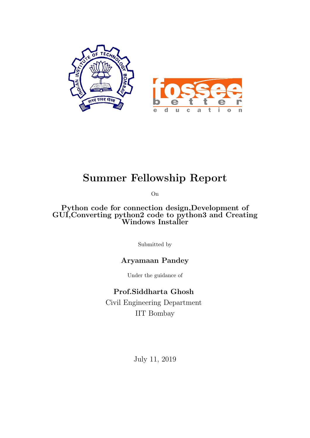

## Summer Fellowship Report

On

Python code for connection design,Development of GUI,Converting python2 code to python3 and Creating Windows Installer

Submitted by

### Aryamaan Pandey

Under the guidance of

### Prof.Siddharta Ghosh

Civil Engineering Department IIT Bombay

July 11, 2019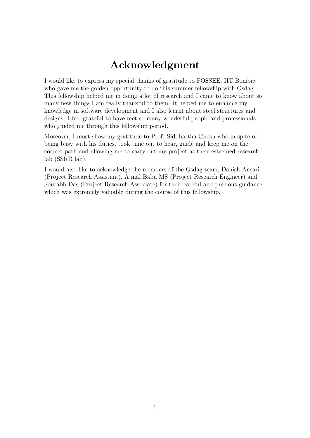## Acknowledgment

I would like to express my special thanks of gratitude to FOSSEE, IIT Bombay who gave me the golden opportunity to do this summer fellowship with Osdag. This fellowship helped me in doing a lot of research and I came to know about so many new things I am really thankful to them. It helped me to enhance my knowledge in software development and I also learnt about steel structures and designs. I feel grateful to have met so many wonderful people and professionals who guided me through this fellowship period.

Moreover, I must show my gratitude to Prof. Siddhartha Ghosh who in spite of being busy with his duties, took time out to hear, guide and keep me on the correct path and allowing me to carry out my project at their esteemed research lab (SSRR lab).

I would also like to acknowledge the members of the Osdag team; Danish Ansari (Project Research Assistant), Ajmal Babu MS (Project Research Engineer) and Sourabh Das (Project Research Associate) for their careful and precious guidance which was extremely valuable during the course of this fellowship.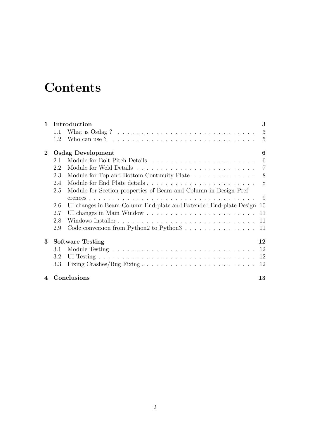## **Contents**

| $\mathbf{1}$     | Introduction |                                                                                         |                |
|------------------|--------------|-----------------------------------------------------------------------------------------|----------------|
|                  | 1.1          | What is $Osdag ? \ldots \ldots \ldots \ldots \ldots \ldots \ldots \ldots \ldots \ldots$ | 3              |
|                  | 1.2          | Who can use ? $\ldots \ldots \ldots \ldots \ldots \ldots \ldots \ldots \ldots \ldots$   | $\overline{5}$ |
| $\bf{2}$         |              | <b>Osdag Development</b>                                                                | 6              |
|                  | 2.1          |                                                                                         | 6              |
|                  | 2.2          |                                                                                         | $\overline{7}$ |
|                  | 2.3          | Module for Top and Bottom Continuity Plate                                              | 8              |
|                  | 2.4          |                                                                                         | 8              |
|                  | 2.5          | Module for Section properties of Beam and Column in Design Pref-                        |                |
|                  |              |                                                                                         | 9              |
|                  | 2.6          | UI changes in Beam-Column End-plate and Extended End-plate Design                       | 10             |
|                  | 2.7          |                                                                                         | 11             |
|                  | 2.8          |                                                                                         | 11             |
|                  | 2.9          |                                                                                         | 11             |
| 3                |              | <b>Software Testing</b>                                                                 | 12             |
|                  | 3.1          |                                                                                         | 12             |
|                  | 3.2          |                                                                                         | 12             |
|                  | 3.3          |                                                                                         | 12             |
| $\boldsymbol{4}$ |              | Conclusions                                                                             | 13             |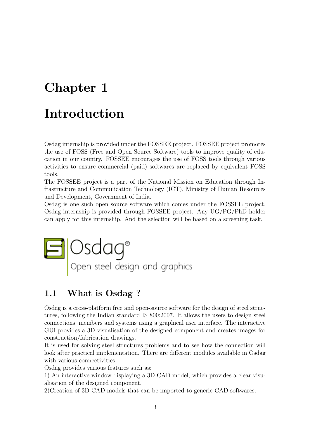## <span id="page-3-0"></span>Chapter 1

## Introduction

Osdag internship is provided under the FOSSEE project. FOSSEE project promotes the use of FOSS (Free and Open Source Software) tools to improve quality of education in our country. FOSSEE encourages the use of FOSS tools through various activities to ensure commercial (paid) softwares are replaced by equivalent FOSS tools.

The FOSSEE project is a part of the National Mission on Education through Infrastructure and Communication Technology (ICT), Ministry of Human Resources and Development, Government of India.

Osdag is one such open source software which comes under the FOSSEE project. Osdag internship is provided through FOSSEE project. Any UG/PG/PhD holder can apply for this internship. And the selection will be based on a screening task.



### <span id="page-3-1"></span>1.1 What is Osdag ?

Osdag is a cross-platform free and open-source software for the design of steel structures, following the Indian standard IS 800:2007. It allows the users to design steel connections, members and systems using a graphical user interface. The interactive GUI provides a 3D visualisation of the designed component and creates images for construction/fabrication drawings.

It is used for solving steel structures problems and to see how the connection will look after practical implementation. There are different modules available in Osdag with various connectivities.

Osdag provides various features such as:

1) An interactive window displaying a 3D CAD model, which provides a clear visualisation of the designed component.

2)Creation of 3D CAD models that can be imported to generic CAD softwares.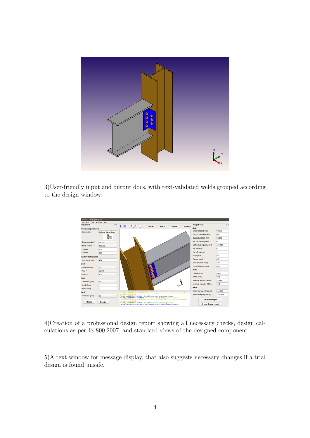

3)User-friendly input and output docs, with text-validated welds grouped according to the design window.



4)Creation of a professional design report showing all necessary checks, design calculations as per IS 800:2007, and standard views of the designed component.

5)A text window for message display, that also suggests necessary changes if a trial design is found unsafe.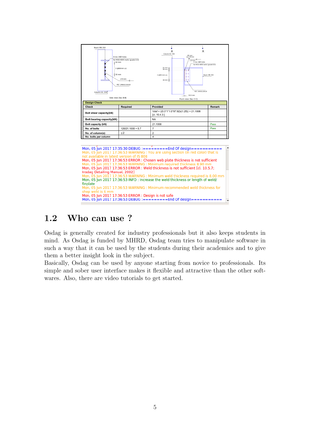

 $\frac{100}{15808}$ Mon, 05 Jun 2017 17:36:53 ERROR : Chosen web plate thickness is not sufficient Mon, 05 Jun 2017 17:36:53 ERROR : Weld thickness is not sufficient [cl. 10.5.7; Mon, 05 Jun 2017 17:36:53 ERROR : Weld thickness is not sufficient [cl. 10.5.7]<br>Insdag Detailing Manual, 2002]<br>Mon, 05 Jun 2017 17:36:53 WARNING : Minimum weld thickness required is 8.00 mm<br>Mon, 05 Jun 2017 17:36:53 INFO : Mon, 05 Jun 2017 17:36:53 INFO : Increase the weld thickness or length of weld/ finplate m.<br>Mon. 05 Jun 2017 17:36:53 WARNING : Minimum recommended weld thickness for shop weld is 6 

### <span id="page-5-0"></span>1.2 Who can use ?

Osdag is generally created for industry professionals but it also keeps students in mind. As Osdag is funded by MHRD, Osdag team tries to manipulate software in such a way that it can be used by the students during their academics and to give them a better insight look in the subject.

Basically, Osdag can be used by anyone starting from novice to professionals. Its simple and sober user interface makes it flexible and attractive than the other softwares. Also, there are video tutorials to get started.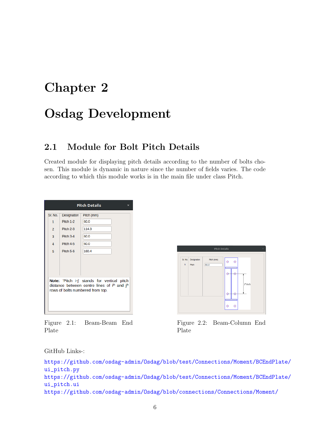## <span id="page-6-0"></span>Chapter 2

## Osdag Development

### <span id="page-6-1"></span>2.1 Module for Bolt Pitch Details

Created module for displaying pitch details according to the number of bolts chosen. This module is dynamic in nature since the number of fields varies. The code according to which this module works is in the main file under class Pitch.

| <b>Pitch Details</b><br>×                                                                                                       |                                                                              |                                                      |  |
|---------------------------------------------------------------------------------------------------------------------------------|------------------------------------------------------------------------------|------------------------------------------------------|--|
| Sr. No.<br>$\mathbf{1}$<br>$\overline{2}$<br>$\overline{\mathbf{3}}$<br>$\boldsymbol{\Lambda}$<br>5                             | Designation<br>Pitch 1-2<br>Pitch 2-3<br>Pitch 3-4<br>Pitch 4-5<br>Pitch 5-6 | Pitch (mm)<br>60.0<br>114.3<br>60.0<br>60.0<br>160.4 |  |
| Note: 'Pitch i-j' stands for vertical pitch<br>distance between centre lines of ith and jth<br>rows of bolts numbered from top. |                                                                              |                                                      |  |

Figure 2.1: Beam-Beam End Plate



Figure 2.2: Beam-Column End Plate

GitHub Links-:

```
https://github.com/osdag-admin/Osdag/blob/test/Connections/Moment/BCEndPlate/
ui_pitch.py
https://github.com/osdag-admin/Osdag/blob/test/Connections/Moment/BCEndPlate/
ui_pitch.ui
https://github.com/osdag-admin/Osdag/blob/connections/Connections/Moment/
```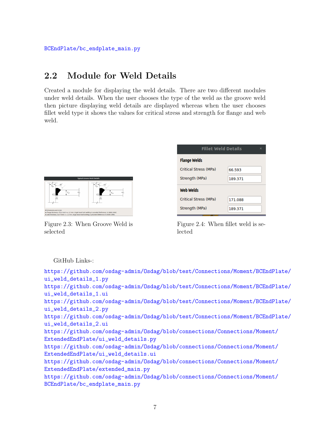## <span id="page-7-0"></span>2.2 Module for Weld Details

Created a module for displaying the weld details. There are two different modules under weld details. When the user chooses the type of the weld as the groove weld then picture displaying weld details are displayed whereas when the user chooses fillet weld type it shows the values for critical stress and strength for flange and web weld.



Figure 2.3: When Groove Weld is selected

| <b>Fillet Weld Details</b><br>$\times$ |         |  |
|----------------------------------------|---------|--|
| <b>Flange Welds</b>                    |         |  |
| <b>Critical Stress (MPa)</b>           | 66.593  |  |
| Strength (MPa)                         | 189.371 |  |
| <b>Web Welds</b>                       |         |  |
| <b>Critical Stress (MPa)</b>           | 171.088 |  |
| Strength (MPa)                         | 189.371 |  |

Figure 2.4: When fillet weld is selected

#### GitHub Links-:

[https://github.com/osdag-admin/Osdag/blob/test/Connections/Moment/BCEn](https://github.com/osdag-admin/Osdag/blob/test/Connections/Moment/BCEndPlate/ui_weld_details_1.py)dPlate/ [ui\\_weld\\_details\\_1.py](https://github.com/osdag-admin/Osdag/blob/test/Connections/Moment/BCEndPlate/ui_weld_details_1.py) [https://github.com/osdag-admin/Osdag/blob/test/Connections/Moment/BCEn](https://github.com/osdag-admin/Osdag/blob/test/Connections/Moment/BCEndPlate/ui_weld_details_1.ui)dPlate/ [ui\\_weld\\_details\\_1.ui](https://github.com/osdag-admin/Osdag/blob/test/Connections/Moment/BCEndPlate/ui_weld_details_1.ui) [https://github.com/osdag-admin/Osdag/blob/test/Connections/Moment/BCEn](https://github.com/osdag-admin/Osdag/blob/test/Connections/Moment/BCEndPlate/ui_weld_details_2.py)dPlate/ [ui\\_weld\\_details\\_2.py](https://github.com/osdag-admin/Osdag/blob/test/Connections/Moment/BCEndPlate/ui_weld_details_2.py) [https://github.com/osdag-admin/Osdag/blob/test/Connections/Moment/BCEn](https://github.com/osdag-admin/Osdag/blob/test/Connections/Moment/BCEndPlate/ui_weld_details_2.ui)dPlate/ [ui\\_weld\\_details\\_2.ui](https://github.com/osdag-admin/Osdag/blob/test/Connections/Moment/BCEndPlate/ui_weld_details_2.ui) [https://github.com/osdag-admin/Osdag/blob/connections/Connections/Mome](https://github.com/osdag-admin/Osdag/blob/connections/Connections/Moment/ExtendedEndPlate/ui_weld_details.py)nt/ [ExtendedEndPlate/ui\\_weld\\_details.py](https://github.com/osdag-admin/Osdag/blob/connections/Connections/Moment/ExtendedEndPlate/ui_weld_details.py) [https://github.com/osdag-admin/Osdag/blob/connections/Connections/Mome](https://github.com/osdag-admin/Osdag/blob/connections/Connections/Moment/ExtendedEndPlate/ui_weld_details.ui)nt/ [ExtendedEndPlate/ui\\_weld\\_details.ui](https://github.com/osdag-admin/Osdag/blob/connections/Connections/Moment/ExtendedEndPlate/ui_weld_details.ui) [https://github.com/osdag-admin/Osdag/blob/connections/Connections/Mome](https://github.com/osdag-admin/Osdag/blob/connections/Connections/Moment/ExtendedEndPlate/extended_main.py)nt/ [ExtendedEndPlate/extended\\_main.py](https://github.com/osdag-admin/Osdag/blob/connections/Connections/Moment/ExtendedEndPlate/extended_main.py) [https://github.com/osdag-admin/Osdag/blob/connections/Connections/Mome](https://github.com/osdag-admin/Osdag/blob/connections/Connections/Moment/BCEndPlate/bc_endplate_main.py)nt/ [BCEndPlate/bc\\_endplate\\_main.py](https://github.com/osdag-admin/Osdag/blob/connections/Connections/Moment/BCEndPlate/bc_endplate_main.py)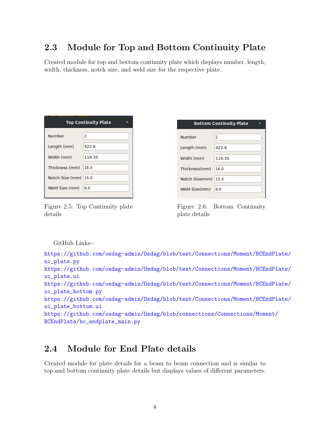## <span id="page-8-0"></span>2.3 Module for Top and Bottom Continuity Plate

Created module for top and bottom continuity plate which displays number, length, width, thickness, notch size, and weld size for the respective plate.

| <b>Top Continuity Plate</b><br>× |  |  |  |
|----------------------------------|--|--|--|
|                                  |  |  |  |
|                                  |  |  |  |
|                                  |  |  |  |
|                                  |  |  |  |
|                                  |  |  |  |
|                                  |  |  |  |
|                                  |  |  |  |

Figure 2.5: Top Continuity plate details

| <b>Bottom Continuity Plate</b><br>× |        |  |  |
|-------------------------------------|--------|--|--|
| <b>Number</b>                       | 2      |  |  |
| Length (mm)                         | 422.6  |  |  |
| Width (mm)                          | 119.35 |  |  |
| Thickness(mm)                       | 16.0   |  |  |
| Notch Size(mm)                      | 15.0   |  |  |
| Weld Size(mm)                       | 6.0    |  |  |

Figure 2.6: Bottom Continuity plate details

#### GitHub Links-:

```
https://github.com/osdag-admin/Osdag/blob/test/Connections/Moment/BCEndPlate/
ui_plate.py
https://github.com/osdag-admin/Osdag/blob/test/Connections/Moment/BCEndPlate/
ui_plate.ui
https://github.com/osdag-admin/Osdag/blob/test/Connections/Moment/BCEndPlate/
ui_plate_bottom.py
https://github.com/osdag-admin/Osdag/blob/test/Connections/Moment/BCEndPlate/
ui_plate_bottom.ui
https://github.com/osdag-admin/Osdag/blob/connections/Connections/Moment/
BCEndPlate/bc_endplate_main.py
```
### <span id="page-8-1"></span>2.4 Module for End Plate details

Created module for plate details for a beam to beam connection and is similar to top and bottom continuity plate details but displays values of different parameters.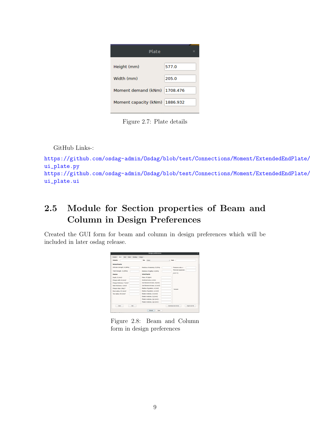| <b>Plate</b>          | ×        |
|-----------------------|----------|
| Height (mm)           | 577.0    |
| Width (mm)            | 205.0    |
| Moment demand (kNm)   | 1708.476 |
| Moment capacity (kNm) | 1886.932 |

Figure 2.7: Plate details

GitHub Links-:

```
https://github.com/osdag-admin/Osdag/blob/test/Connections/Moment/ExtendedEndPlate/
ui_plate.py
https://github.com/osdag-admin/Osdag/blob/test/Connections/Moment/ExtendedEndPlate/
ui_plate.ui
```
## <span id="page-9-0"></span>2.5 Module for Section properties of Beam and Column in Design Preferences

Created the GUI form for beam and column in design preferences which will be included in later osdag release.

| <b>Design preferences</b>                                           |                                |                   |  |
|---------------------------------------------------------------------|--------------------------------|-------------------|--|
| Weld<br><b>Design</b><br>Column<br><b>Beam</b><br>Reit<br>Detailing |                                |                   |  |
| Designation                                                         | <b>Type</b><br>Robed           | $-$ Seatte        |  |
| <b>Mechanical Properties</b>                                        |                                |                   |  |
| Ultimate strength, fu (MPa)                                         | Modulus of elasticity. E (GPa) | Poissons ratio, y |  |
| Yield Strength , fy (MPa)                                           | Modulus of rigidity, G (GPa)   | Thermal expansion |  |
| Dimensions                                                          | <b>Sectional Properties</b>    | 0(10/1)           |  |
| Depth, D (mm)*                                                      | Mass, M (kg/m)                 |                   |  |
| Flange width, B (mm)*                                               | Sectional area, a (mm)         |                   |  |
| Flange thickness, T (mm)*                                           | 2nd Moment of area, Iz(cm2)    |                   |  |
| Web thickness, t (mm)*                                              | 2nd Moment of area, ly (cm2)   |                   |  |
| Flange slope, (deg.)*                                               | Radius of gyration, rz (cm2)   | <b>Toyot shot</b> |  |
| Root radius, R1 (mm)*                                               | Radius of gyration, ry (cm2)   |                   |  |
| Toe radius, R2 (mm)*                                                | Elastic modulus, Zz (cm2)      |                   |  |
|                                                                     | Elastic modulus, Zy (cm2)      |                   |  |
|                                                                     | Plastic modulus, Zpz (cm2.)    |                   |  |
|                                                                     | Plastic modulus, Zpv (cm2.)    |                   |  |
| <b>Download sits format</b><br>Cleve<br>Add<br>Import sites file    |                                |                   |  |
| Defaults<br>Says:                                                   |                                |                   |  |

Figure 2.8: Beam and Column form in design preferences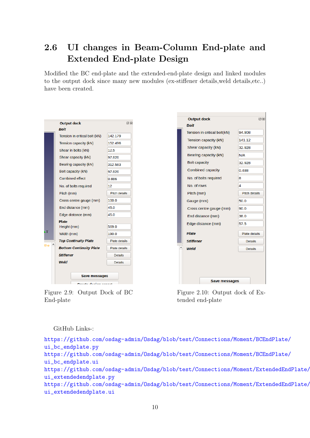## <span id="page-10-0"></span>2.6 UI changes in Beam-Column End-plate and Extended End-plate Design

Modified the BC end-plate and the extended-end-plate design and linked modules to the output dock since many new modules (ex-stiffener details,weld details,etc..) have been created.

|                | <b>Output dock</b>             | 回风                   |
|----------------|--------------------------------|----------------------|
|                | Bolt                           |                      |
|                | Tension in critical bolt (kN)  | 142.179              |
|                | Tension capacity (kN)          | 152.496              |
|                | Shear in bolts (kN)            | 12.5                 |
|                | Shear capacity (kN)            | 97.826               |
|                | Bearing capacity (kN)          | 312.583              |
|                | Bolt capacity (kN)             | 97.826               |
|                | <b>Combined effect</b>         | 0.886                |
|                | No. of bolts required          | 12                   |
|                | Pitch (mm)                     | <b>Pitch details</b> |
|                | Cross centre gauge (mm)        | 100.0                |
|                | End distance (mm)              | 45.0                 |
|                | Edge distance (mm)             | 45.0                 |
|                | <b>Plate</b><br>Height (mm)    | 569.0                |
| $\overline{Y}$ | Width (mm)                     | 190.0                |
|                | <b>Top Continuity Plate</b>    | Plate details        |
| the            | <b>Bottom Continuity Plate</b> | Plate details        |
|                | <b>Stiffener</b>               | <b>Details</b>       |
|                | Weld                           | <b>Details</b>       |
|                | <b>Save messages</b><br>.      |                      |

Figure 2.9: Output Dock of BC End-plate

| <b>Output dock</b><br>Bolt   | 0x                   |
|------------------------------|----------------------|
| Tension in critical bolt(kN) | 94.908               |
| Tension capacity (kN)        | 141.12               |
| Shear capacity (kN)          | 32,928               |
| Bearing capacity (kN)        | N/A                  |
| <b>Bolt capacity</b>         | 32.928               |
| <b>Combined capacity</b>     | 0.488                |
| No. of bolts required        | 8                    |
| No. of rows                  | 4                    |
| Pitch (mm)                   | <b>Pitch details</b> |
| Gauge (mm)                   | 50.0                 |
| Cross centre gauge (mm)      | 90.0                 |
| End distance (mm)            | 38.0                 |
| Edge distance (mm)           | 57.5                 |
| <b>Plate</b>                 | Plate details        |
| <b>Stiffener</b>             | <b>Details</b>       |
| Weld                         | <b>Details</b>       |
|                              |                      |
| <b>Save messages</b>         |                      |

 $\blacksquare$ 

Figure 2.10: Output dock of Extended end-plate

#### GitHub Links-:

[https://github.com/osdag-admin/Osdag/blob/test/Connections/Moment/BCEn](https://github.com/osdag-admin/Osdag/blob/test/Connections/Moment/BCEndPlate/ui_bc_endplate.py)dPlate/ [ui\\_bc\\_endplate.py](https://github.com/osdag-admin/Osdag/blob/test/Connections/Moment/BCEndPlate/ui_bc_endplate.py) [https://github.com/osdag-admin/Osdag/blob/test/Connections/Moment/BCEn](https://github.com/osdag-admin/Osdag/blob/test/Connections/Moment/BCEndPlate/ui_bc_endplate.ui)dPlate/ [ui\\_bc\\_endplate.ui](https://github.com/osdag-admin/Osdag/blob/test/Connections/Moment/BCEndPlate/ui_bc_endplate.ui) [https://github.com/osdag-admin/Osdag/blob/test/Connections/Moment/Exte](https://github.com/osdag-admin/Osdag/blob/test/Connections/Moment/ExtendedEndPlate/ui_extendedendplate.py)ndedEndPlate/ [ui\\_extendedendplate.py](https://github.com/osdag-admin/Osdag/blob/test/Connections/Moment/ExtendedEndPlate/ui_extendedendplate.py) [https://github.com/osdag-admin/Osdag/blob/test/Connections/Moment/Exte](https://github.com/osdag-admin/Osdag/blob/test/Connections/Moment/ExtendedEndPlate/ui_extendedendplate.ui)ndedEndPlate/ [ui\\_extendedendplate.ui](https://github.com/osdag-admin/Osdag/blob/test/Connections/Moment/ExtendedEndPlate/ui_extendedendplate.ui)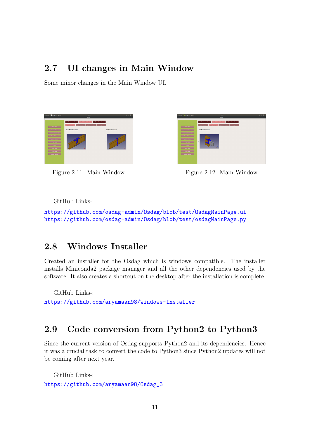### <span id="page-11-0"></span>2.7 UI changes in Main Window

Some minor changes in the Main Window UI.





Figure 2.11: Main Window Figure 2.12: Main Window

GitHub Links-:

<https://github.com/osdag-admin/Osdag/blob/test/OsdagMainPage.ui> <https://github.com/osdag-admin/Osdag/blob/test/osdagMainPage.py>

## <span id="page-11-1"></span>2.8 Windows Installer

Created an installer for the Osdag which is windows compatible. The installer installs Miniconda2 package manager and all the other dependencies used by the software. It also creates a shortcut on the desktop after the installation is complete.

GitHub Links-:

<https://github.com/aryamaan98/Windows-Installer>

## <span id="page-11-2"></span>2.9 Code conversion from Python2 to Python3

Since the current version of Osdag supports Python2 and its dependencies. Hence it was a crucial task to convert the code to Python3 since Python2 updates will not be coming after next year.

GitHub Links-: [https://github.com/aryamaan98/Osdag\\_3](https://github.com/aryamaan98/Osdag_3)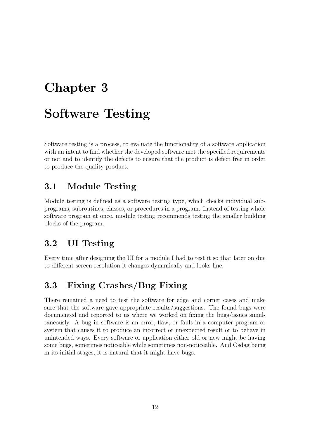## <span id="page-12-0"></span>Chapter 3

## Software Testing

Software testing is a process, to evaluate the functionality of a software application with an intent to find whether the developed software met the specified requirements or not and to identify the defects to ensure that the product is defect free in order to produce the quality product.

### <span id="page-12-1"></span>3.1 Module Testing

Module testing is defined as a software testing type, which checks individual subprograms, subroutines, classes, or procedures in a program. Instead of testing whole software program at once, module testing recommends testing the smaller building blocks of the program.

### <span id="page-12-2"></span>3.2 UI Testing

Every time after designing the UI for a module I had to test it so that later on due to different screen resolution it changes dynamically and looks fine.

## <span id="page-12-3"></span>3.3 Fixing Crashes/Bug Fixing

There remained a need to test the software for edge and corner cases and make sure that the software gave appropriate results/suggestions. The found bugs were documented and reported to us where we worked on fixing the bugs/issues simultaneously. A bug in software is an error, flaw, or fault in a computer program or system that causes it to produce an incorrect or unexpected result or to behave in unintended ways. Every software or application either old or new might be having some bugs, sometimes noticeable while sometimes non-noticeable. And Osdag being in its initial stages, it is natural that it might have bugs.